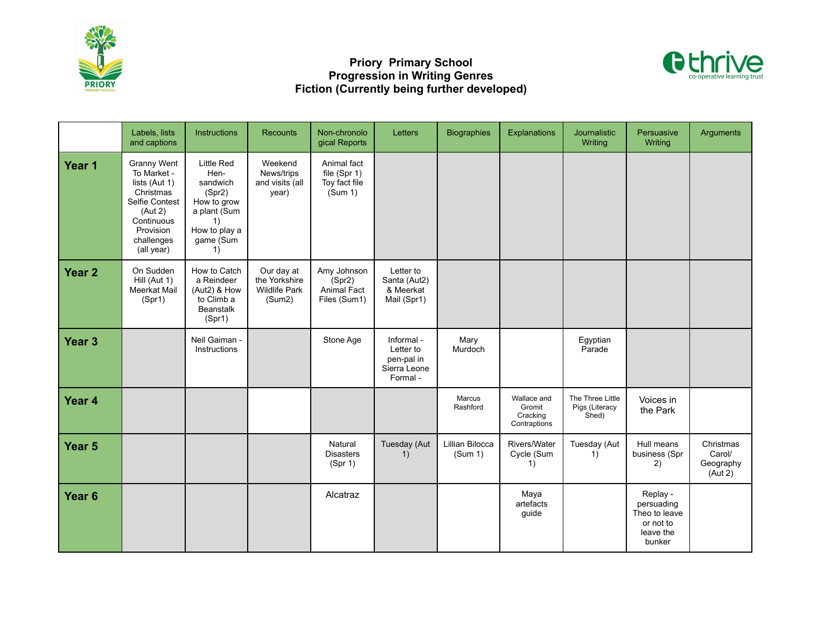

## **Priory Primary School Progression in Writing Genres Fiction (Currently being further developed)**



|                   | Labels, lists<br>and captions                                                                                                                       | Instructions                                                                                                             | Recounts                                                      | Non-chronolo<br>gical Reports                           | Letters                                                           | <b>Biographies</b>         | Explanations                                      | Journalistic<br>Writing                     | Persuasive<br>Writing                                                       | Arguments                                   |
|-------------------|-----------------------------------------------------------------------------------------------------------------------------------------------------|--------------------------------------------------------------------------------------------------------------------------|---------------------------------------------------------------|---------------------------------------------------------|-------------------------------------------------------------------|----------------------------|---------------------------------------------------|---------------------------------------------|-----------------------------------------------------------------------------|---------------------------------------------|
| Year 1            | <b>Granny Went</b><br>To Market -<br>lists (Aut 1)<br>Christmas<br>Selfie Contest<br>(Aut 2)<br>Continuous<br>Provision<br>challenges<br>(all year) | <b>Little Red</b><br>Hen-<br>sandwich<br>(Spr2)<br>How to grow<br>a plant (Sum<br>1)<br>How to play a<br>game (Sum<br>1) | Weekend<br>News/trips<br>and visits (all<br>year)             | Animal fact<br>file (Spr 1)<br>Toy fact file<br>(Sum 1) |                                                                   |                            |                                                   |                                             |                                                                             |                                             |
| Year <sub>2</sub> | On Sudden<br>Hill (Aut 1)<br>Meerkat Mail<br>(Spr1)                                                                                                 | How to Catch<br>a Reindeer<br>(Aut2) & How<br>to Climb a<br>Beanstalk<br>(Spr1)                                          | Our day at<br>the Yorkshire<br><b>Wildlife Park</b><br>(Sum2) | Amy Johnson<br>(Spr2)<br>Animal Fact<br>Files (Sum1)    | Letter to<br>Santa (Aut2)<br>& Meerkat<br>Mail (Spr1)             |                            |                                                   |                                             |                                                                             |                                             |
| Year <sub>3</sub> |                                                                                                                                                     | Neil Gaiman -<br>Instructions                                                                                            |                                                               | Stone Age                                               | Informal -<br>Letter to<br>pen-pal in<br>Sierra Leone<br>Formal - | Mary<br>Murdoch            |                                                   | Egyptian<br>Parade                          |                                                                             |                                             |
| Year 4            |                                                                                                                                                     |                                                                                                                          |                                                               |                                                         |                                                                   | Marcus<br>Rashford         | Wallace and<br>Gromit<br>Cracking<br>Contraptions | The Three Little<br>Pigs (Literacy<br>Shed) | Voices in<br>the Park                                                       |                                             |
| Year <sub>5</sub> |                                                                                                                                                     |                                                                                                                          |                                                               | Natural<br><b>Disasters</b><br>(Spr 1)                  | Tuesday (Aut<br>1)                                                | Lillian Bilocca<br>(Sum 1) | Rivers/Water<br>Cycle (Sum<br>1)                  | Tuesday (Aut<br>1)                          | Hull means<br>business (Spr<br>2)                                           | Christmas<br>Carol/<br>Geography<br>(Aut 2) |
| Year <sub>6</sub> |                                                                                                                                                     |                                                                                                                          |                                                               | Alcatraz                                                |                                                                   |                            | Maya<br>artefacts<br>guide                        |                                             | Replay -<br>persuading<br>Theo to leave<br>or not to<br>leave the<br>bunker |                                             |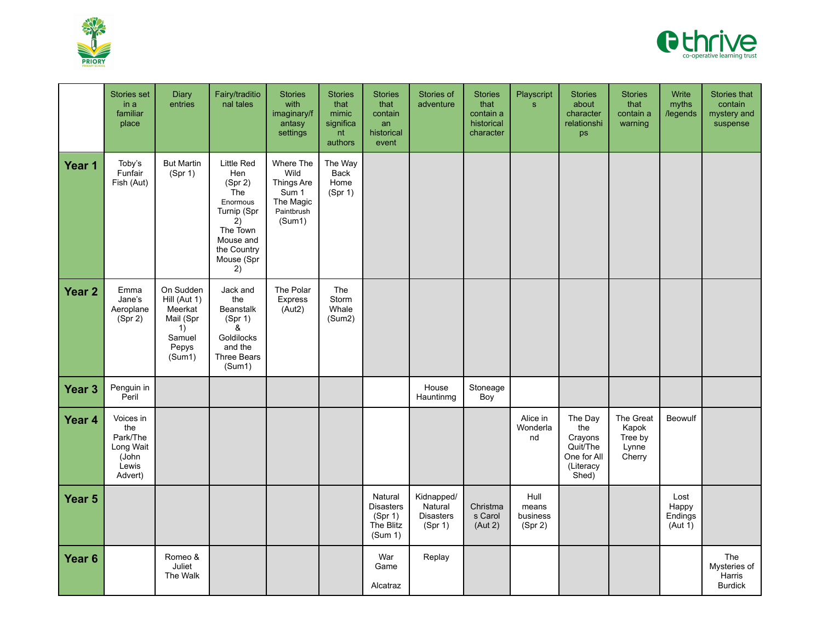



|                   | <b>Stories set</b><br>in a<br>familiar<br>place                        | Diary<br>entries                                                                     | Fairy/traditio<br>nal tales                                                                                                                    | <b>Stories</b><br>with<br>imaginary/f<br>antasy<br>settings                          | <b>Stories</b><br>that<br>mimic<br>significa<br>nt<br>authors | <b>Stories</b><br>that<br>contain<br>an<br>historical<br>event | Stories of<br>adventure                              | <b>Stories</b><br>that<br>contain a<br>historical<br>character | Playscript<br>$\mathbf{s}$           | <b>Stories</b><br>about<br>character<br>relationshi<br>ps                  | <b>Stories</b><br>that<br>contain a<br>warning   | Write<br>myths<br>/legends          | Stories that<br>contain<br>mystery and<br>suspense |
|-------------------|------------------------------------------------------------------------|--------------------------------------------------------------------------------------|------------------------------------------------------------------------------------------------------------------------------------------------|--------------------------------------------------------------------------------------|---------------------------------------------------------------|----------------------------------------------------------------|------------------------------------------------------|----------------------------------------------------------------|--------------------------------------|----------------------------------------------------------------------------|--------------------------------------------------|-------------------------------------|----------------------------------------------------|
| Year 1            | Toby's<br>Funfair<br>Fish (Aut)                                        | <b>But Martin</b><br>(Spr 1)                                                         | <b>Little Red</b><br>Hen<br>(Spr 2)<br><b>The</b><br>Enormous<br>Turnip (Spr<br>2)<br>The Town<br>Mouse and<br>the Country<br>Mouse (Spr<br>2) | Where The<br>Wild<br><b>Things Are</b><br>Sum 1<br>The Magic<br>Paintbrush<br>(Sum1) | The Way<br>Back<br>Home<br>(Spr 1)                            |                                                                |                                                      |                                                                |                                      |                                                                            |                                                  |                                     |                                                    |
| Year <sub>2</sub> | Emma<br>Jane's<br>Aeroplane<br>(Spr 2)                                 | On Sudden<br>Hill (Aut 1)<br>Meerkat<br>Mail (Spr<br>1)<br>Samuel<br>Pepys<br>(Sum1) | Jack and<br>the<br><b>Beanstalk</b><br>(Spr 1)<br>&<br>Goldilocks<br>and the<br>Three Bears<br>(Sum1)                                          | The Polar<br><b>Express</b><br>(Aut2)                                                | The<br>Storm<br>Whale<br>(Sum2)                               |                                                                |                                                      |                                                                |                                      |                                                                            |                                                  |                                     |                                                    |
| Year <sub>3</sub> | Penguin in<br>Peril                                                    |                                                                                      |                                                                                                                                                |                                                                                      |                                                               |                                                                | House<br>Hauntinmg                                   | Stoneage<br>Boy                                                |                                      |                                                                            |                                                  |                                     |                                                    |
| Year 4            | Voices in<br>the<br>Park/The<br>Long Wait<br>(John<br>Lewis<br>Advert) |                                                                                      |                                                                                                                                                |                                                                                      |                                                               |                                                                |                                                      |                                                                | Alice in<br>Wonderla<br>nd           | The Day<br>the<br>Crayons<br>Quit/The<br>One for All<br>(Literacy<br>Shed) | The Great<br>Kapok<br>Tree by<br>Lynne<br>Cherry | Beowulf                             |                                                    |
| Year <sub>5</sub> |                                                                        |                                                                                      |                                                                                                                                                |                                                                                      |                                                               | Natural<br><b>Disasters</b><br>(Spr 1)<br>The Blitz<br>(Sum 1) | Kidnapped/<br>Natural<br><b>Disasters</b><br>(Spr 1) | Christma<br>s Carol<br>(Aut 2)                                 | Hull<br>means<br>business<br>(Spr 2) |                                                                            |                                                  | Lost<br>Happy<br>Endings<br>(Aut 1) |                                                    |
| Year <sub>6</sub> |                                                                        | Romeo &<br>Juliet<br>The Walk                                                        |                                                                                                                                                |                                                                                      |                                                               | War<br>Game<br>Alcatraz                                        | Replay                                               |                                                                |                                      |                                                                            |                                                  |                                     | The<br>Mysteries of<br>Harris<br><b>Burdick</b>    |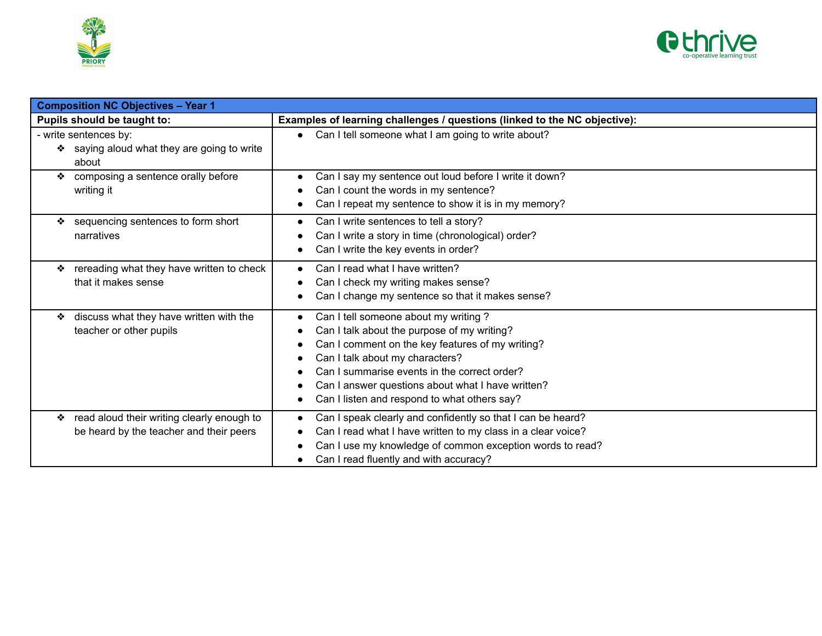



| <b>Composition NC Objectives - Year 1</b>                                                  |                                                                                                                                                                                                                                                                                                                                  |  |  |  |
|--------------------------------------------------------------------------------------------|----------------------------------------------------------------------------------------------------------------------------------------------------------------------------------------------------------------------------------------------------------------------------------------------------------------------------------|--|--|--|
| Pupils should be taught to:                                                                | Examples of learning challenges / questions (linked to the NC objective):                                                                                                                                                                                                                                                        |  |  |  |
| - write sentences by:<br>saying aloud what they are going to write<br>❖<br>about           | • Can I tell someone what I am going to write about?                                                                                                                                                                                                                                                                             |  |  |  |
| composing a sentence orally before<br>❖<br>writing it                                      | Can I say my sentence out loud before I write it down?<br>Can I count the words in my sentence?<br>Can I repeat my sentence to show it is in my memory?                                                                                                                                                                          |  |  |  |
| sequencing sentences to form short<br>❖<br>narratives                                      | Can I write sentences to tell a story?<br>Can I write a story in time (chronological) order?<br>Can I write the key events in order?                                                                                                                                                                                             |  |  |  |
| rereading what they have written to check<br>❖<br>that it makes sense                      | Can I read what I have written?<br>Can I check my writing makes sense?<br>Can I change my sentence so that it makes sense?                                                                                                                                                                                                       |  |  |  |
| discuss what they have written with the<br>❖<br>teacher or other pupils                    | Can I tell someone about my writing ?<br>Can I talk about the purpose of my writing?<br>Can I comment on the key features of my writing?<br>Can I talk about my characters?<br>Can I summarise events in the correct order?<br>Can I answer questions about what I have written?<br>Can I listen and respond to what others say? |  |  |  |
| read aloud their writing clearly enough to<br>❖<br>be heard by the teacher and their peers | Can I speak clearly and confidently so that I can be heard?<br>Can I read what I have written to my class in a clear voice?<br>Can I use my knowledge of common exception words to read?<br>Can I read fluently and with accuracy?                                                                                               |  |  |  |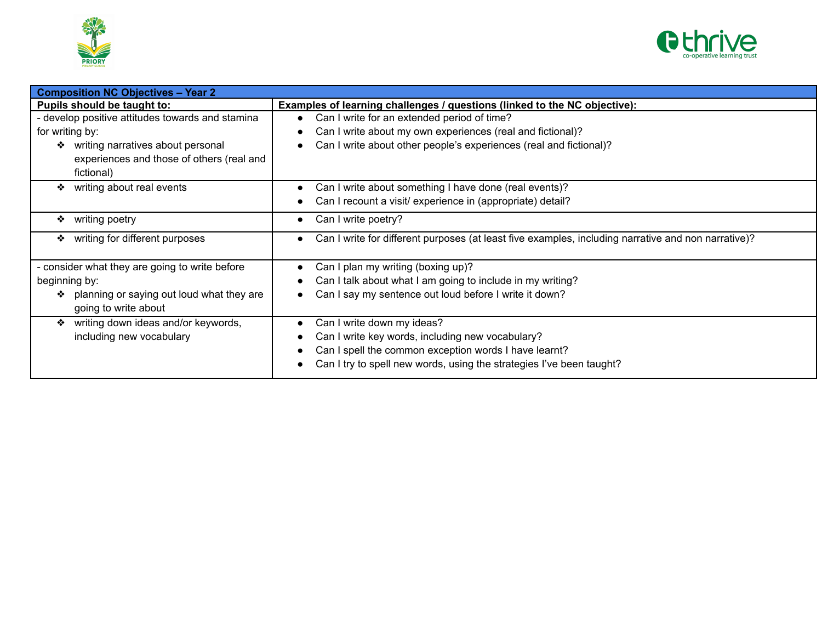



| <b>Composition NC Objectives - Year 2</b>        |                                                                                                     |  |  |  |
|--------------------------------------------------|-----------------------------------------------------------------------------------------------------|--|--|--|
| Pupils should be taught to:                      | Examples of learning challenges / questions (linked to the NC objective):                           |  |  |  |
| - develop positive attitudes towards and stamina | Can I write for an extended period of time?                                                         |  |  |  |
| for writing by:                                  | Can I write about my own experiences (real and fictional)?                                          |  |  |  |
| writing narratives about personal                | Can I write about other people's experiences (real and fictional)?                                  |  |  |  |
| experiences and those of others (real and        |                                                                                                     |  |  |  |
| fictional)                                       |                                                                                                     |  |  |  |
| writing about real events<br>❖                   | Can I write about something I have done (real events)?                                              |  |  |  |
|                                                  | Can I recount a visit/ experience in (appropriate) detail?                                          |  |  |  |
| writing poetry<br>❖                              | Can I write poetry?                                                                                 |  |  |  |
| writing for different purposes<br>❖              | Can I write for different purposes (at least five examples, including narrative and non narrative)? |  |  |  |
| - consider what they are going to write before   | Can I plan my writing (boxing up)?                                                                  |  |  |  |
| beginning by:                                    | Can I talk about what I am going to include in my writing?                                          |  |  |  |
| planning or saying out loud what they are<br>❖   | Can I say my sentence out loud before I write it down?                                              |  |  |  |
| going to write about                             |                                                                                                     |  |  |  |
| writing down ideas and/or keywords,              | Can I write down my ideas?                                                                          |  |  |  |
| including new vocabulary                         | Can I write key words, including new vocabulary?                                                    |  |  |  |
|                                                  | Can I spell the common exception words I have learnt?                                               |  |  |  |
|                                                  | Can I try to spell new words, using the strategies I've been taught?                                |  |  |  |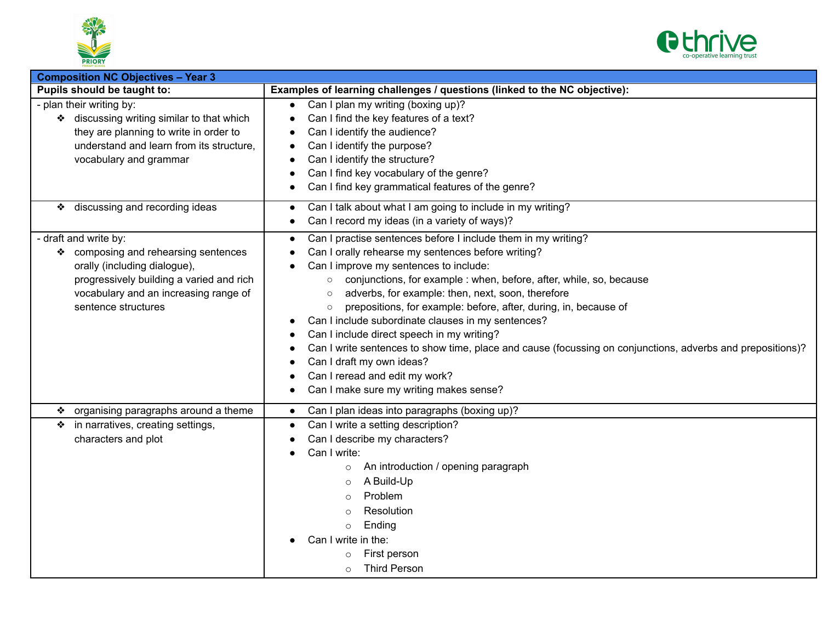



| <b>Composition NC Objectives - Year 3</b>                                                                                                                                                                                     |                                                                                                                                                                                                                                                                                                                                                                                                                                                                                                                                                                                                                                                                                                                                         |  |  |  |  |  |
|-------------------------------------------------------------------------------------------------------------------------------------------------------------------------------------------------------------------------------|-----------------------------------------------------------------------------------------------------------------------------------------------------------------------------------------------------------------------------------------------------------------------------------------------------------------------------------------------------------------------------------------------------------------------------------------------------------------------------------------------------------------------------------------------------------------------------------------------------------------------------------------------------------------------------------------------------------------------------------------|--|--|--|--|--|
| Pupils should be taught to:                                                                                                                                                                                                   | Examples of learning challenges / questions (linked to the NC objective):                                                                                                                                                                                                                                                                                                                                                                                                                                                                                                                                                                                                                                                               |  |  |  |  |  |
| - plan their writing by:<br>♦ discussing writing similar to that which<br>they are planning to write in order to<br>understand and learn from its structure.<br>vocabulary and grammar<br>discussing and recording ideas<br>❖ | Can I plan my writing (boxing up)?<br>$\bullet$<br>Can I find the key features of a text?<br>Can I identify the audience?<br>Can I identify the purpose?<br>Can I identify the structure?<br>Can I find key vocabulary of the genre?<br>Can I find key grammatical features of the genre?<br>Can I talk about what I am going to include in my writing?<br>$\bullet$                                                                                                                                                                                                                                                                                                                                                                    |  |  |  |  |  |
|                                                                                                                                                                                                                               | Can I record my ideas (in a variety of ways)?                                                                                                                                                                                                                                                                                                                                                                                                                                                                                                                                                                                                                                                                                           |  |  |  |  |  |
| - draft and write by:<br>❖ composing and rehearsing sentences<br>orally (including dialogue),<br>progressively building a varied and rich<br>vocabulary and an increasing range of<br>sentence structures                     | Can I practise sentences before I include them in my writing?<br>$\bullet$<br>Can I orally rehearse my sentences before writing?<br>Can I improve my sentences to include:<br>conjunctions, for example : when, before, after, while, so, because<br>$\circ$<br>adverbs, for example: then, next, soon, therefore<br>$\circ$<br>prepositions, for example: before, after, during, in, because of<br>$\circ$<br>Can I include subordinate clauses in my sentences?<br>Can I include direct speech in my writing?<br>Can I write sentences to show time, place and cause (focussing on conjunctions, adverbs and prepositions)?<br>Can I draft my own ideas?<br>Can I reread and edit my work?<br>Can I make sure my writing makes sense? |  |  |  |  |  |
| organising paragraphs around a theme<br>❖                                                                                                                                                                                     | Can I plan ideas into paragraphs (boxing up)?<br>$\bullet$                                                                                                                                                                                                                                                                                                                                                                                                                                                                                                                                                                                                                                                                              |  |  |  |  |  |
| ❖ in narratives, creating settings,<br>characters and plot                                                                                                                                                                    | Can I write a setting description?<br>$\bullet$<br>Can I describe my characters?<br>Can I write:<br>An introduction / opening paragraph<br>$\circ$<br>A Build-Up<br>$\circ$<br>Problem<br>$\circ$<br>Resolution<br>$\circ$<br>Ending<br>$\circ$<br>Can I write in the:<br>First person<br><b>Third Person</b><br>$\circ$                                                                                                                                                                                                                                                                                                                                                                                                                |  |  |  |  |  |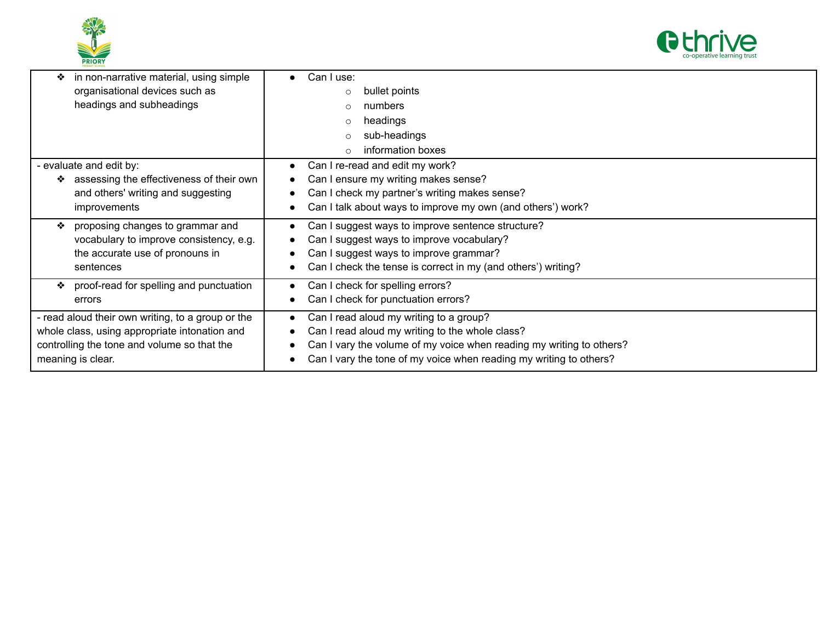



| in non-narrative material, using simple<br>❖<br>organisational devices such as<br>headings and subheadings                                                           | Can I use:<br>bullet points<br>$\circ$<br>numbers<br>headings<br>sub-headings<br>information boxes                                                                                                                                       |
|----------------------------------------------------------------------------------------------------------------------------------------------------------------------|------------------------------------------------------------------------------------------------------------------------------------------------------------------------------------------------------------------------------------------|
| evaluate and edit by:<br>assessing the effectiveness of their own<br>❖<br>and others' writing and suggesting<br>improvements                                         | Can I re-read and edit my work?<br>Can I ensure my writing makes sense?<br>Can I check my partner's writing makes sense?<br>Can I talk about ways to improve my own (and others') work?                                                  |
| proposing changes to grammar and<br>❖<br>vocabulary to improve consistency, e.g.<br>the accurate use of pronouns in<br>sentences                                     | Can I suggest ways to improve sentence structure?<br>Can I suggest ways to improve vocabulary?<br>Can I suggest ways to improve grammar?<br>Can I check the tense is correct in my (and others') writing?                                |
| ❖ proof-read for spelling and punctuation<br>errors                                                                                                                  | Can I check for spelling errors?<br>Can I check for punctuation errors?                                                                                                                                                                  |
| read aloud their own writing, to a group or the<br>whole class, using appropriate intonation and<br>controlling the tone and volume so that the<br>meaning is clear. | Can I read aloud my writing to a group?<br>Can I read aloud my writing to the whole class?<br>Can I vary the volume of my voice when reading my writing to others?<br>Can I vary the tone of my voice when reading my writing to others? |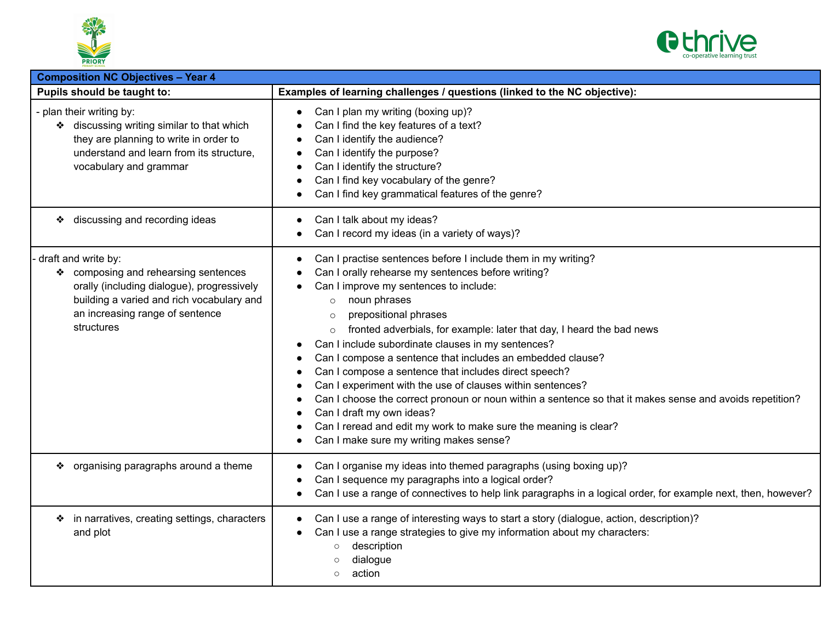



| <b>Composition NC Objectives - Year 4</b>                                                                                                                                                               |                                                                                                                                                                                                                                                                                                                                                                                                                                                                                                                                                                                                                                                                                                                                                                                                                                                                                      |  |  |  |
|---------------------------------------------------------------------------------------------------------------------------------------------------------------------------------------------------------|--------------------------------------------------------------------------------------------------------------------------------------------------------------------------------------------------------------------------------------------------------------------------------------------------------------------------------------------------------------------------------------------------------------------------------------------------------------------------------------------------------------------------------------------------------------------------------------------------------------------------------------------------------------------------------------------------------------------------------------------------------------------------------------------------------------------------------------------------------------------------------------|--|--|--|
| Pupils should be taught to:                                                                                                                                                                             | Examples of learning challenges / questions (linked to the NC objective):                                                                                                                                                                                                                                                                                                                                                                                                                                                                                                                                                                                                                                                                                                                                                                                                            |  |  |  |
| - plan their writing by:<br>♦ discussing writing similar to that which<br>they are planning to write in order to<br>understand and learn from its structure,<br>vocabulary and grammar                  | Can I plan my writing (boxing up)?<br>$\bullet$<br>Can I find the key features of a text?<br>Can I identify the audience?<br>$\bullet$<br>Can I identify the purpose?<br>$\bullet$<br>Can I identify the structure?<br>$\bullet$<br>Can I find key vocabulary of the genre?<br>$\bullet$<br>Can I find key grammatical features of the genre?                                                                                                                                                                                                                                                                                                                                                                                                                                                                                                                                        |  |  |  |
| ❖ discussing and recording ideas                                                                                                                                                                        | Can I talk about my ideas?<br>$\bullet$<br>Can I record my ideas (in a variety of ways)?<br>$\bullet$                                                                                                                                                                                                                                                                                                                                                                                                                                                                                                                                                                                                                                                                                                                                                                                |  |  |  |
| draft and write by:<br>* composing and rehearsing sentences<br>orally (including dialogue), progressively<br>building a varied and rich vocabulary and<br>an increasing range of sentence<br>structures | Can I practise sentences before I include them in my writing?<br>$\bullet$<br>Can I orally rehearse my sentences before writing?<br>Can I improve my sentences to include:<br>noun phrases<br>$\circ$<br>prepositional phrases<br>$\circ$<br>fronted adverbials, for example: later that day, I heard the bad news<br>$\circ$<br>Can I include subordinate clauses in my sentences?<br>$\bullet$<br>Can I compose a sentence that includes an embedded clause?<br>Can I compose a sentence that includes direct speech?<br>Can I experiment with the use of clauses within sentences?<br>Can I choose the correct pronoun or noun within a sentence so that it makes sense and avoids repetition?<br>$\bullet$<br>Can I draft my own ideas?<br>$\bullet$<br>Can I reread and edit my work to make sure the meaning is clear?<br>Can I make sure my writing makes sense?<br>$\bullet$ |  |  |  |
| * organising paragraphs around a theme                                                                                                                                                                  | Can I organise my ideas into themed paragraphs (using boxing up)?<br>Can I sequence my paragraphs into a logical order?<br>$\bullet$<br>Can I use a range of connectives to help link paragraphs in a logical order, for example next, then, however?<br>$\bullet$                                                                                                                                                                                                                                                                                                                                                                                                                                                                                                                                                                                                                   |  |  |  |
| in narratives, creating settings, characters<br>and plot                                                                                                                                                | Can I use a range of interesting ways to start a story (dialogue, action, description)?<br>$\bullet$<br>Can I use a range strategies to give my information about my characters:<br>$\bullet$<br>description<br>$\circ$<br>dialogue<br>action<br>$\circ$                                                                                                                                                                                                                                                                                                                                                                                                                                                                                                                                                                                                                             |  |  |  |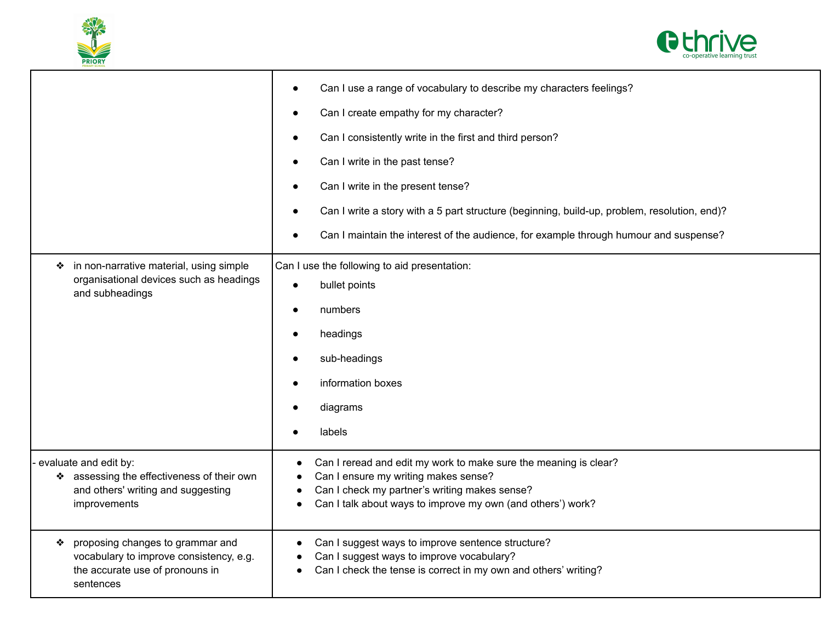



|                                                                                                                                  | Can I use a range of vocabulary to describe my characters feelings?<br>$\bullet$<br>Can I create empathy for my character?<br>$\bullet$<br>Can I consistently write in the first and third person?<br>$\bullet$<br>Can I write in the past tense?<br>$\bullet$<br>Can I write in the present tense?<br>$\bullet$<br>Can I write a story with a 5 part structure (beginning, build-up, problem, resolution, end)?<br>$\bullet$<br>Can I maintain the interest of the audience, for example through humour and suspense? |
|----------------------------------------------------------------------------------------------------------------------------------|------------------------------------------------------------------------------------------------------------------------------------------------------------------------------------------------------------------------------------------------------------------------------------------------------------------------------------------------------------------------------------------------------------------------------------------------------------------------------------------------------------------------|
| in non-narrative material, using simple<br>❖<br>organisational devices such as headings<br>and subheadings                       | Can I use the following to aid presentation:<br>bullet points<br>$\bullet$<br>numbers<br>$\bullet$<br>headings<br>$\bullet$<br>sub-headings<br>$\bullet$<br>information boxes<br>$\bullet$<br>diagrams<br>$\bullet$<br>labels                                                                                                                                                                                                                                                                                          |
| evaluate and edit by:<br>* assessing the effectiveness of their own<br>and others' writing and suggesting<br>improvements        | Can I reread and edit my work to make sure the meaning is clear?<br>Can I ensure my writing makes sense?<br>Can I check my partner's writing makes sense?<br>Can I talk about ways to improve my own (and others') work?                                                                                                                                                                                                                                                                                               |
| proposing changes to grammar and<br>❖<br>vocabulary to improve consistency, e.g.<br>the accurate use of pronouns in<br>sentences | Can I suggest ways to improve sentence structure?<br>Can I suggest ways to improve vocabulary?<br>Can I check the tense is correct in my own and others' writing?                                                                                                                                                                                                                                                                                                                                                      |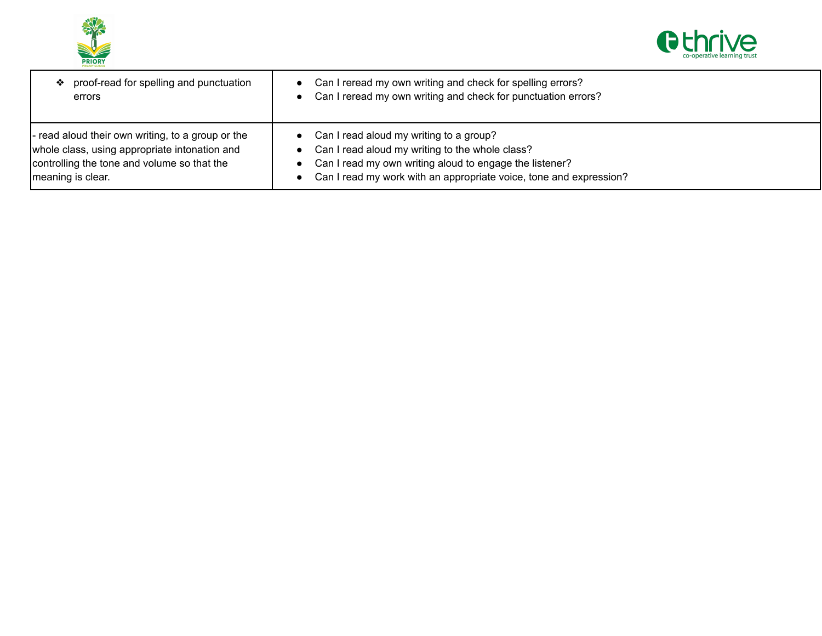



| ❖ proof-read for spelling and punctuation                                                                                                                              | • Can I reread my own writing and check for spelling errors?                                                                                                                                                                                 |
|------------------------------------------------------------------------------------------------------------------------------------------------------------------------|----------------------------------------------------------------------------------------------------------------------------------------------------------------------------------------------------------------------------------------------|
| errors                                                                                                                                                                 | Can I reread my own writing and check for punctuation errors?                                                                                                                                                                                |
| - read aloud their own writing, to a group or the<br>whole class, using appropriate intonation and<br>controlling the tone and volume so that the<br>meaning is clear. | • Can I read aloud my writing to a group?<br>Can I read aloud my writing to the whole class?<br>$\bullet$<br>• Can I read my own writing aloud to engage the listener?<br>Can I read my work with an appropriate voice, tone and expression? |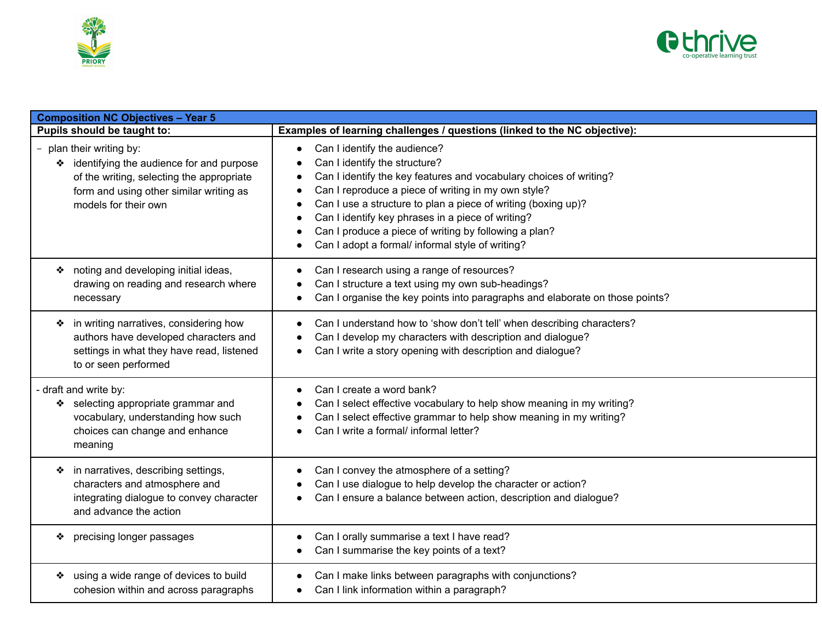



| <b>Composition NC Objectives - Year 5</b>                                                                                                                                              |                                                                                                                                                                                                                                                                                                                                                                                                                               |  |  |  |
|----------------------------------------------------------------------------------------------------------------------------------------------------------------------------------------|-------------------------------------------------------------------------------------------------------------------------------------------------------------------------------------------------------------------------------------------------------------------------------------------------------------------------------------------------------------------------------------------------------------------------------|--|--|--|
| Pupils should be taught to:                                                                                                                                                            | Examples of learning challenges / questions (linked to the NC objective):                                                                                                                                                                                                                                                                                                                                                     |  |  |  |
| - plan their writing by:<br>* identifying the audience for and purpose<br>of the writing, selecting the appropriate<br>form and using other similar writing as<br>models for their own | Can I identify the audience?<br>Can I identify the structure?<br>Can I identify the key features and vocabulary choices of writing?<br>Can I reproduce a piece of writing in my own style?<br>Can I use a structure to plan a piece of writing (boxing up)?<br>Can I identify key phrases in a piece of writing?<br>Can I produce a piece of writing by following a plan?<br>Can I adopt a formal/ informal style of writing? |  |  |  |
| * noting and developing initial ideas,<br>drawing on reading and research where<br>necessary                                                                                           | Can I research using a range of resources?<br>Can I structure a text using my own sub-headings?<br>Can I organise the key points into paragraphs and elaborate on those points?                                                                                                                                                                                                                                               |  |  |  |
| ❖ in writing narratives, considering how<br>authors have developed characters and<br>settings in what they have read, listened<br>to or seen performed                                 | Can I understand how to 'show don't tell' when describing characters?<br>Can I develop my characters with description and dialogue?<br>Can I write a story opening with description and dialogue?                                                                                                                                                                                                                             |  |  |  |
| - draft and write by:<br>❖ selecting appropriate grammar and<br>vocabulary, understanding how such<br>choices can change and enhance<br>meaning                                        | Can I create a word bank?<br>Can I select effective vocabulary to help show meaning in my writing?<br>Can I select effective grammar to help show meaning in my writing?<br>Can I write a formal/ informal letter?                                                                                                                                                                                                            |  |  |  |
| ❖ in narratives, describing settings,<br>characters and atmosphere and<br>integrating dialogue to convey character<br>and advance the action                                           | Can I convey the atmosphere of a setting?<br>Can I use dialogue to help develop the character or action?<br>Can I ensure a balance between action, description and dialogue?                                                                                                                                                                                                                                                  |  |  |  |
| precising longer passages<br>❖                                                                                                                                                         | Can I orally summarise a text I have read?<br>Can I summarise the key points of a text?                                                                                                                                                                                                                                                                                                                                       |  |  |  |
| using a wide range of devices to build<br>❖<br>cohesion within and across paragraphs                                                                                                   | Can I make links between paragraphs with conjunctions?<br>Can I link information within a paragraph?                                                                                                                                                                                                                                                                                                                          |  |  |  |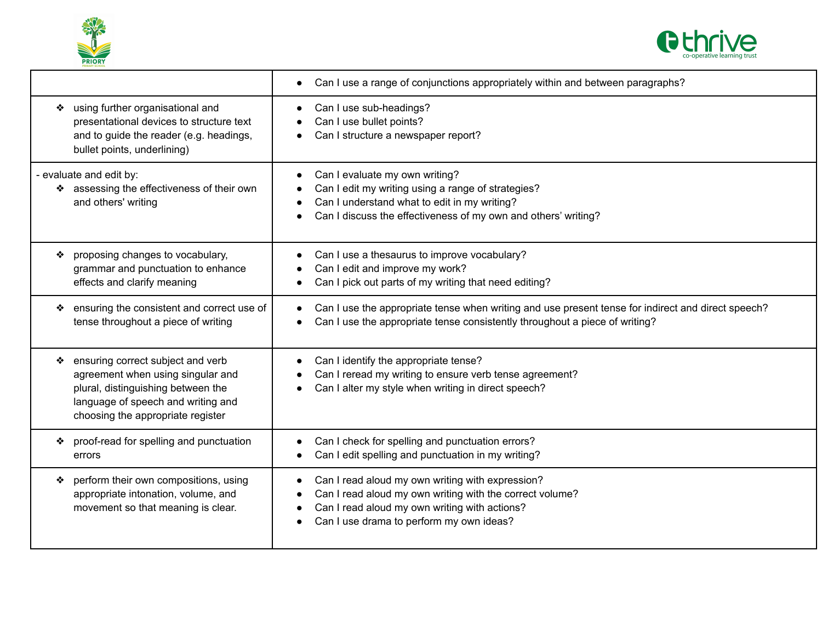



|                                                                                                                                                                                         | Can I use a range of conjunctions appropriately within and between paragraphs?                                                                          |
|-----------------------------------------------------------------------------------------------------------------------------------------------------------------------------------------|---------------------------------------------------------------------------------------------------------------------------------------------------------|
| using further organisational and<br>❖<br>presentational devices to structure text<br>and to guide the reader (e.g. headings,<br>bullet points, underlining)                             | Can I use sub-headings?<br>Can I use bullet points?<br>Can I structure a newspaper report?                                                              |
| - evaluate and edit by:                                                                                                                                                                 | Can I evaluate my own writing?                                                                                                                          |
| assessing the effectiveness of their own                                                                                                                                                | Can I edit my writing using a range of strategies?                                                                                                      |
| ❖                                                                                                                                                                                       | Can I understand what to edit in my writing?                                                                                                            |
| and others' writing                                                                                                                                                                     | Can I discuss the effectiveness of my own and others' writing?                                                                                          |
| proposing changes to vocabulary,<br>❖<br>grammar and punctuation to enhance<br>effects and clarify meaning                                                                              | Can I use a thesaurus to improve vocabulary?<br>Can I edit and improve my work?<br>Can I pick out parts of my writing that need editing?                |
| ensuring the consistent and correct use of                                                                                                                                              | Can I use the appropriate tense when writing and use present tense for indirect and direct speech?                                                      |
| tense throughout a piece of writing                                                                                                                                                     | Can I use the appropriate tense consistently throughout a piece of writing?                                                                             |
| ensuring correct subject and verb<br>agreement when using singular and<br>plural, distinguishing between the<br>language of speech and writing and<br>choosing the appropriate register | Can I identify the appropriate tense?<br>Can I reread my writing to ensure verb tense agreement?<br>Can I alter my style when writing in direct speech? |
| proof-read for spelling and punctuation                                                                                                                                                 | Can I check for spelling and punctuation errors?                                                                                                        |
| errors                                                                                                                                                                                  | Can I edit spelling and punctuation in my writing?                                                                                                      |
| perform their own compositions, using                                                                                                                                                   | Can I read aloud my own writing with expression?                                                                                                        |
| ❖                                                                                                                                                                                       | Can I read aloud my own writing with the correct volume?                                                                                                |
| appropriate intonation, volume, and                                                                                                                                                     | Can I read aloud my own writing with actions?                                                                                                           |
| movement so that meaning is clear.                                                                                                                                                      | Can I use drama to perform my own ideas?                                                                                                                |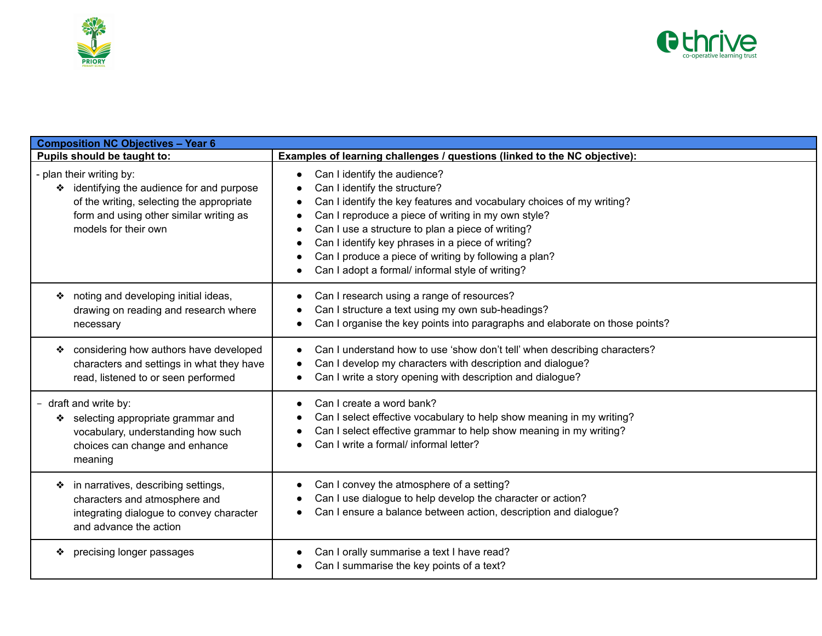



| <b>Composition NC Objectives - Year 6</b>                                                                                                                                              |                                                                                                                                                                                                                                                                                                                                                                                                                      |  |  |  |
|----------------------------------------------------------------------------------------------------------------------------------------------------------------------------------------|----------------------------------------------------------------------------------------------------------------------------------------------------------------------------------------------------------------------------------------------------------------------------------------------------------------------------------------------------------------------------------------------------------------------|--|--|--|
| Pupils should be taught to:                                                                                                                                                            | Examples of learning challenges / questions (linked to the NC objective):                                                                                                                                                                                                                                                                                                                                            |  |  |  |
| - plan their writing by:<br>❖ identifying the audience for and purpose<br>of the writing, selecting the appropriate<br>form and using other similar writing as<br>models for their own | Can I identify the audience?<br>Can I identify the structure?<br>Can I identify the key features and vocabulary choices of my writing?<br>Can I reproduce a piece of writing in my own style?<br>Can I use a structure to plan a piece of writing?<br>Can I identify key phrases in a piece of writing?<br>Can I produce a piece of writing by following a plan?<br>Can I adopt a formal/ informal style of writing? |  |  |  |
| ❖ noting and developing initial ideas,<br>drawing on reading and research where<br>necessary                                                                                           | Can I research using a range of resources?<br>Can I structure a text using my own sub-headings?<br>Can I organise the key points into paragraphs and elaborate on those points?                                                                                                                                                                                                                                      |  |  |  |
| ❖ considering how authors have developed<br>characters and settings in what they have<br>read, listened to or seen performed                                                           | Can I understand how to use 'show don't tell' when describing characters?<br>Can I develop my characters with description and dialogue?<br>Can I write a story opening with description and dialogue?                                                                                                                                                                                                                |  |  |  |
| - draft and write by:<br>❖ selecting appropriate grammar and<br>vocabulary, understanding how such<br>choices can change and enhance<br>meaning                                        | Can I create a word bank?<br>Can I select effective vocabulary to help show meaning in my writing?<br>Can I select effective grammar to help show meaning in my writing?<br>Can I write a formal/ informal letter?                                                                                                                                                                                                   |  |  |  |
| ❖ in narratives, describing settings,<br>characters and atmosphere and<br>integrating dialogue to convey character<br>and advance the action                                           | Can I convey the atmosphere of a setting?<br>Can I use dialogue to help develop the character or action?<br>Can I ensure a balance between action, description and dialogue?                                                                                                                                                                                                                                         |  |  |  |
| precising longer passages<br>❖                                                                                                                                                         | Can I orally summarise a text I have read?<br>Can I summarise the key points of a text?                                                                                                                                                                                                                                                                                                                              |  |  |  |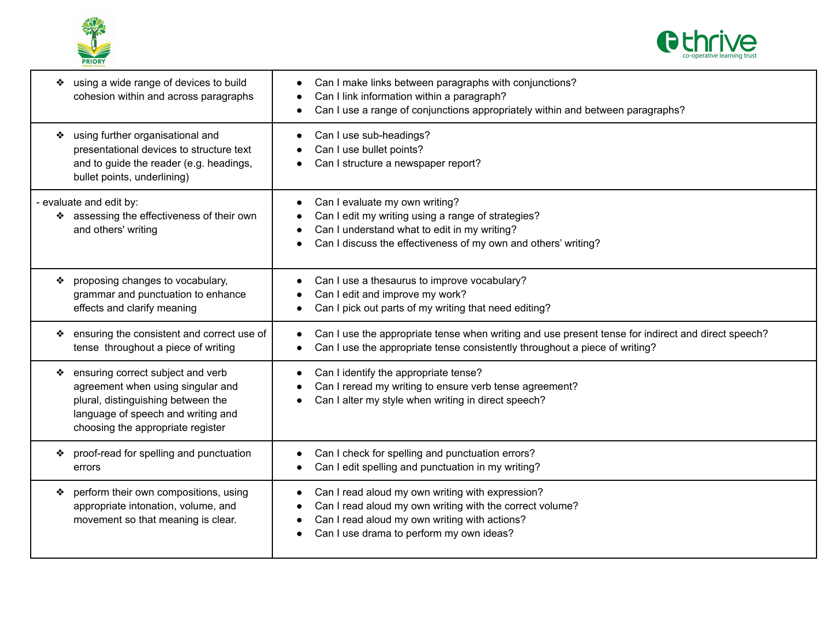



| ❖ using a wide range of devices to build<br>cohesion within and across paragraphs                                                                                                       | Can I make links between paragraphs with conjunctions?<br>Can I link information within a paragraph?<br>Can I use a range of conjunctions appropriately within and between paragraphs?                    |
|-----------------------------------------------------------------------------------------------------------------------------------------------------------------------------------------|-----------------------------------------------------------------------------------------------------------------------------------------------------------------------------------------------------------|
| ❖ using further organisational and<br>presentational devices to structure text<br>and to guide the reader (e.g. headings,<br>bullet points, underlining)                                | Can I use sub-headings?<br>Can I use bullet points?<br>Can I structure a newspaper report?                                                                                                                |
| - evaluate and edit by:<br>❖ assessing the effectiveness of their own<br>and others' writing                                                                                            | Can I evaluate my own writing?<br>Can I edit my writing using a range of strategies?<br>Can I understand what to edit in my writing?<br>Can I discuss the effectiveness of my own and others' writing?    |
| proposing changes to vocabulary,<br>❖<br>grammar and punctuation to enhance<br>effects and clarify meaning                                                                              | Can I use a thesaurus to improve vocabulary?<br>Can I edit and improve my work?<br>Can I pick out parts of my writing that need editing?                                                                  |
| ensuring the consistent and correct use of<br>❖<br>tense throughout a piece of writing                                                                                                  | Can I use the appropriate tense when writing and use present tense for indirect and direct speech?<br>Can I use the appropriate tense consistently throughout a piece of writing?                         |
| ensuring correct subject and verb<br>agreement when using singular and<br>plural, distinguishing between the<br>language of speech and writing and<br>choosing the appropriate register | Can I identify the appropriate tense?<br>Can I reread my writing to ensure verb tense agreement?<br>Can I alter my style when writing in direct speech?                                                   |
| proof-read for spelling and punctuation<br>❖<br>errors                                                                                                                                  | Can I check for spelling and punctuation errors?<br>Can I edit spelling and punctuation in my writing?                                                                                                    |
| perform their own compositions, using<br>❖<br>appropriate intonation, volume, and<br>movement so that meaning is clear.                                                                 | Can I read aloud my own writing with expression?<br>Can I read aloud my own writing with the correct volume?<br>Can I read aloud my own writing with actions?<br>Can I use drama to perform my own ideas? |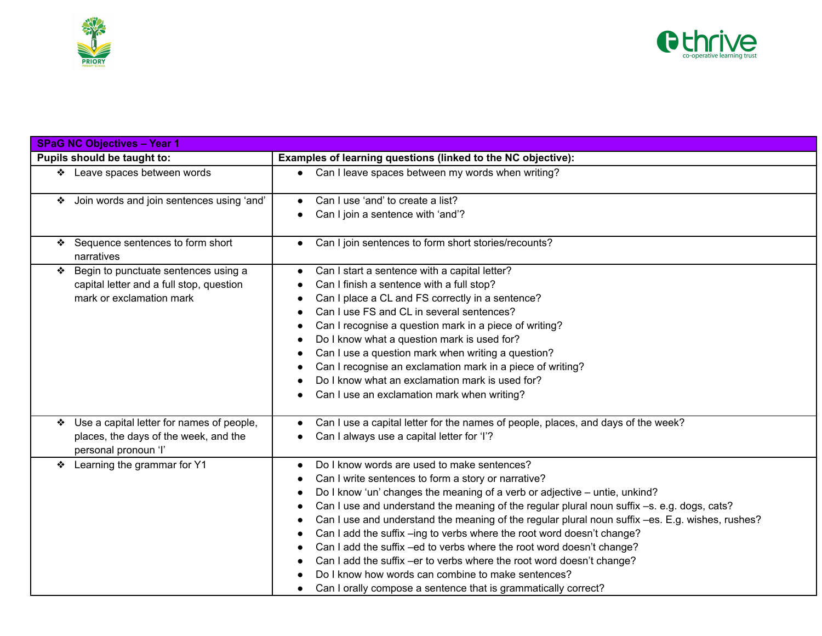



| <b>SPaG NC Objectives - Year 1</b>                                                                                |                                                                                                                                                                                                                                                                                                                                                                                                                                                                                                                                                                                                                                                                                                                                         |
|-------------------------------------------------------------------------------------------------------------------|-----------------------------------------------------------------------------------------------------------------------------------------------------------------------------------------------------------------------------------------------------------------------------------------------------------------------------------------------------------------------------------------------------------------------------------------------------------------------------------------------------------------------------------------------------------------------------------------------------------------------------------------------------------------------------------------------------------------------------------------|
| Pupils should be taught to:                                                                                       | Examples of learning questions (linked to the NC objective):                                                                                                                                                                                                                                                                                                                                                                                                                                                                                                                                                                                                                                                                            |
| Leave spaces between words                                                                                        | Can I leave spaces between my words when writing?                                                                                                                                                                                                                                                                                                                                                                                                                                                                                                                                                                                                                                                                                       |
| Join words and join sentences using 'and'<br>❖                                                                    | Can I use 'and' to create a list?<br>$\bullet$<br>Can I join a sentence with 'and'?                                                                                                                                                                                                                                                                                                                                                                                                                                                                                                                                                                                                                                                     |
| ❖ Sequence sentences to form short<br>narratives                                                                  | Can I join sentences to form short stories/recounts?                                                                                                                                                                                                                                                                                                                                                                                                                                                                                                                                                                                                                                                                                    |
| Begin to punctuate sentences using a<br>❖<br>capital letter and a full stop, question<br>mark or exclamation mark | Can I start a sentence with a capital letter?<br>Can I finish a sentence with a full stop?<br>Can I place a CL and FS correctly in a sentence?<br>Can I use FS and CL in several sentences?<br>Can I recognise a question mark in a piece of writing?<br>Do I know what a question mark is used for?<br>Can I use a question mark when writing a question?<br>Can I recognise an exclamation mark in a piece of writing?<br>Do I know what an exclamation mark is used for?<br>Can I use an exclamation mark when writing?                                                                                                                                                                                                              |
| Use a capital letter for names of people,<br>❖<br>places, the days of the week, and the<br>personal pronoun 'l'   | Can I use a capital letter for the names of people, places, and days of the week?<br>Can I always use a capital letter for 'I'?                                                                                                                                                                                                                                                                                                                                                                                                                                                                                                                                                                                                         |
| Learning the grammar for Y1<br>❖                                                                                  | Do I know words are used to make sentences?<br>Can I write sentences to form a story or narrative?<br>Do I know 'un' changes the meaning of a verb or adjective – untie, unkind?<br>Can I use and understand the meaning of the regular plural noun suffix -s. e.g. dogs, cats?<br>Can I use and understand the meaning of the regular plural noun suffix -es. E.g. wishes, rushes?<br>Can I add the suffix -ing to verbs where the root word doesn't change?<br>Can I add the suffix -ed to verbs where the root word doesn't change?<br>Can I add the suffix -er to verbs where the root word doesn't change?<br>Do I know how words can combine to make sentences?<br>Can I orally compose a sentence that is grammatically correct? |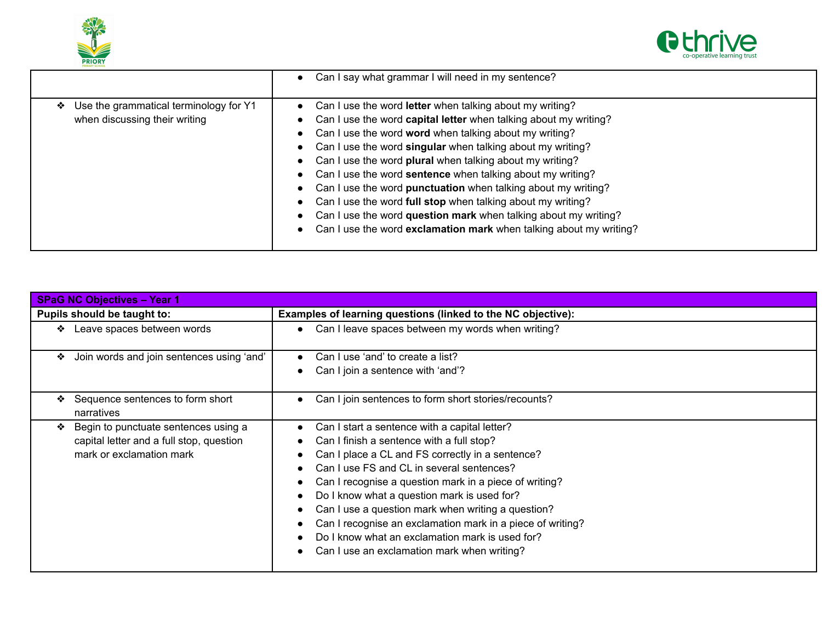



|                                                                         | Can I say what grammar I will need in my sentence?                                                                                                                                                                                                                                                                                                                                                                                                                                                                                                                                                                                                      |
|-------------------------------------------------------------------------|---------------------------------------------------------------------------------------------------------------------------------------------------------------------------------------------------------------------------------------------------------------------------------------------------------------------------------------------------------------------------------------------------------------------------------------------------------------------------------------------------------------------------------------------------------------------------------------------------------------------------------------------------------|
| Use the grammatical terminology for Y1<br>when discussing their writing | Can I use the word letter when talking about my writing?<br>Can I use the word capital letter when talking about my writing?<br>Can I use the word word when talking about my writing?<br>Can I use the word singular when talking about my writing?<br>Can I use the word plural when talking about my writing?<br>Can I use the word sentence when talking about my writing?<br>Can I use the word punctuation when talking about my writing?<br>Can I use the word full stop when talking about my writing?<br>Can I use the word question mark when talking about my writing?<br>Can I use the word exclamation mark when talking about my writing? |

| <b>SPaG NC Objectives - Year 1</b>                                                                           |                                                                                                                                                                                                                                                                                                                                                                                                                                                                                                                            |
|--------------------------------------------------------------------------------------------------------------|----------------------------------------------------------------------------------------------------------------------------------------------------------------------------------------------------------------------------------------------------------------------------------------------------------------------------------------------------------------------------------------------------------------------------------------------------------------------------------------------------------------------------|
| Pupils should be taught to:                                                                                  | Examples of learning questions (linked to the NC objective):                                                                                                                                                                                                                                                                                                                                                                                                                                                               |
| Leave spaces between words<br>❖                                                                              | Can I leave spaces between my words when writing?                                                                                                                                                                                                                                                                                                                                                                                                                                                                          |
| Join words and join sentences using 'and'<br>❖                                                               | Can I use 'and' to create a list?<br>Can I join a sentence with 'and'?                                                                                                                                                                                                                                                                                                                                                                                                                                                     |
| Sequence sentences to form short<br>❖<br>narratives                                                          | Can I join sentences to form short stories/recounts?                                                                                                                                                                                                                                                                                                                                                                                                                                                                       |
| Begin to punctuate sentences using a<br>capital letter and a full stop, question<br>mark or exclamation mark | Can I start a sentence with a capital letter?<br>Can I finish a sentence with a full stop?<br>Can I place a CL and FS correctly in a sentence?<br>Can I use FS and CL in several sentences?<br>Can I recognise a question mark in a piece of writing?<br>Do I know what a question mark is used for?<br>Can I use a question mark when writing a question?<br>Can I recognise an exclamation mark in a piece of writing?<br>Do I know what an exclamation mark is used for?<br>Can I use an exclamation mark when writing? |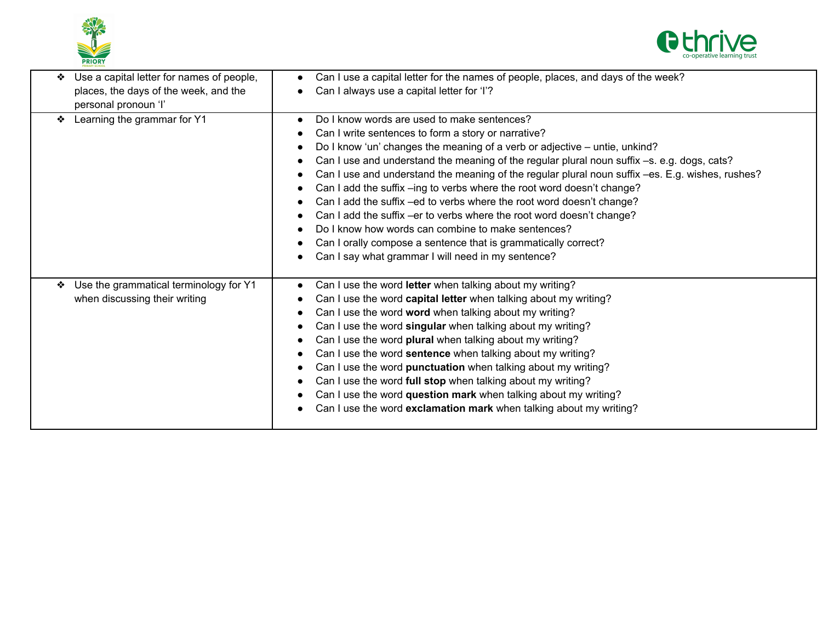



| Use a capital letter for names of people,<br>❖<br>places, the days of the week, and the<br>personal pronoun 'l' | Can I use a capital letter for the names of people, places, and days of the week?<br>Can I always use a capital letter for 'I'?                                                                                                                                                                                                                                                                                                                                                                                                                                                                                                                                                                                                                                                                                                   |
|-----------------------------------------------------------------------------------------------------------------|-----------------------------------------------------------------------------------------------------------------------------------------------------------------------------------------------------------------------------------------------------------------------------------------------------------------------------------------------------------------------------------------------------------------------------------------------------------------------------------------------------------------------------------------------------------------------------------------------------------------------------------------------------------------------------------------------------------------------------------------------------------------------------------------------------------------------------------|
| Learning the grammar for Y1<br>❖                                                                                | Do I know words are used to make sentences?<br>$\bullet$<br>Can I write sentences to form a story or narrative?<br>Do I know 'un' changes the meaning of a verb or adjective – untie, unkind?<br>Can I use and understand the meaning of the regular plural noun suffix -s. e.g. dogs, cats?<br>Can I use and understand the meaning of the regular plural noun suffix -es. E.g. wishes, rushes?<br>٠<br>Can I add the suffix -ing to verbs where the root word doesn't change?<br>Can I add the suffix -ed to verbs where the root word doesn't change?<br>Can I add the suffix -er to verbs where the root word doesn't change?<br>٠<br>Do I know how words can combine to make sentences?<br>Can I orally compose a sentence that is grammatically correct?<br>$\bullet$<br>Can I say what grammar I will need in my sentence? |
| Use the grammatical terminology for Y1<br>❖<br>when discussing their writing                                    | Can I use the word letter when talking about my writing?<br>$\bullet$<br>Can I use the word capital letter when talking about my writing?<br>٠<br>Can I use the word word when talking about my writing?<br>Can I use the word singular when talking about my writing?<br>Can I use the word plural when talking about my writing?<br>Can I use the word sentence when talking about my writing?<br>Can I use the word punctuation when talking about my writing?<br>٠<br>Can I use the word full stop when talking about my writing?<br>Can I use the word question mark when talking about my writing?<br>٠<br>Can I use the word exclamation mark when talking about my writing?                                                                                                                                               |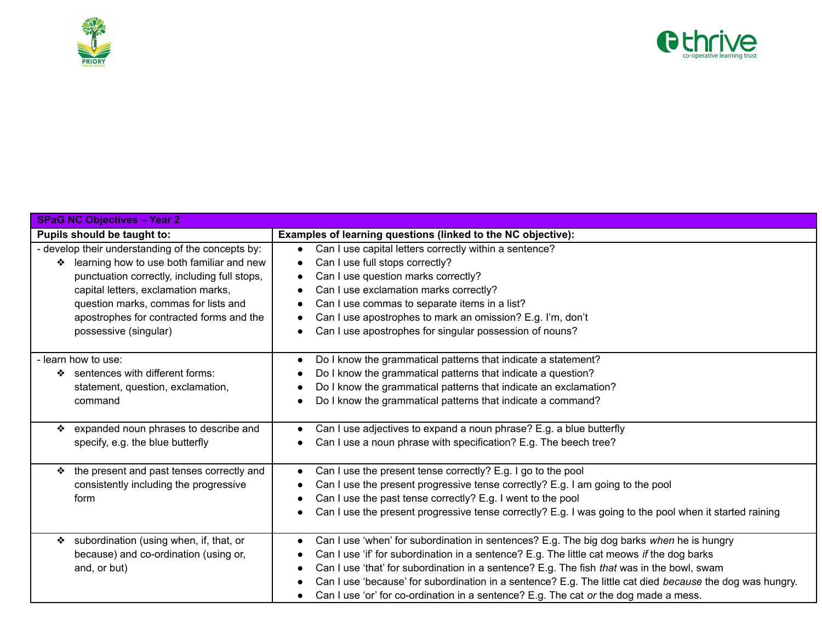



| <b>SPaG NC Objectives - Year 2</b>                                                                                                                                                                                                                                                                      |                                                                                                                                                                                                                                                                                                                                                                                                                                                                                            |
|---------------------------------------------------------------------------------------------------------------------------------------------------------------------------------------------------------------------------------------------------------------------------------------------------------|--------------------------------------------------------------------------------------------------------------------------------------------------------------------------------------------------------------------------------------------------------------------------------------------------------------------------------------------------------------------------------------------------------------------------------------------------------------------------------------------|
| Pupils should be taught to:                                                                                                                                                                                                                                                                             | Examples of learning questions (linked to the NC objective):                                                                                                                                                                                                                                                                                                                                                                                                                               |
| - develop their understanding of the concepts by:<br>learning how to use both familiar and new<br>❖<br>punctuation correctly, including full stops,<br>capital letters, exclamation marks,<br>question marks, commas for lists and<br>apostrophes for contracted forms and the<br>possessive (singular) | Can I use capital letters correctly within a sentence?<br>$\bullet$<br>Can I use full stops correctly?<br>Can I use question marks correctly?<br>Can I use exclamation marks correctly?<br>Can I use commas to separate items in a list?<br>Can I use apostrophes to mark an omission? E.g. I'm, don't<br>Can I use apostrophes for singular possession of nouns?                                                                                                                          |
| - learn how to use:<br>❖ sentences with different forms:<br>statement, question, exclamation,<br>command                                                                                                                                                                                                | Do I know the grammatical patterns that indicate a statement?<br>Do I know the grammatical patterns that indicate a question?<br>Do I know the grammatical patterns that indicate an exclamation?<br>Do I know the grammatical patterns that indicate a command?                                                                                                                                                                                                                           |
| * expanded noun phrases to describe and<br>specify, e.g. the blue butterfly                                                                                                                                                                                                                             | Can I use adjectives to expand a noun phrase? E.g. a blue butterfly<br>Can I use a noun phrase with specification? E.g. The beech tree?                                                                                                                                                                                                                                                                                                                                                    |
| ❖ the present and past tenses correctly and<br>consistently including the progressive<br>form                                                                                                                                                                                                           | Can I use the present tense correctly? E.g. I go to the pool<br>Can I use the present progressive tense correctly? E.g. I am going to the pool<br>Can I use the past tense correctly? E.g. I went to the pool<br>Can I use the present progressive tense correctly? E.g. I was going to the pool when it started raining                                                                                                                                                                   |
| Subordination (using when, if, that, or<br>because) and co-ordination (using or,<br>and, or but)                                                                                                                                                                                                        | Can I use 'when' for subordination in sentences? E.g. The big dog barks when he is hungry<br>Can I use 'if' for subordination in a sentence? E.g. The little cat meows if the dog barks<br>Can I use 'that' for subordination in a sentence? E.g. The fish that was in the bowl, swam<br>Can I use 'because' for subordination in a sentence? E.g. The little cat died because the dog was hungry.<br>Can I use 'or' for co-ordination in a sentence? E.g. The cat or the dog made a mess. |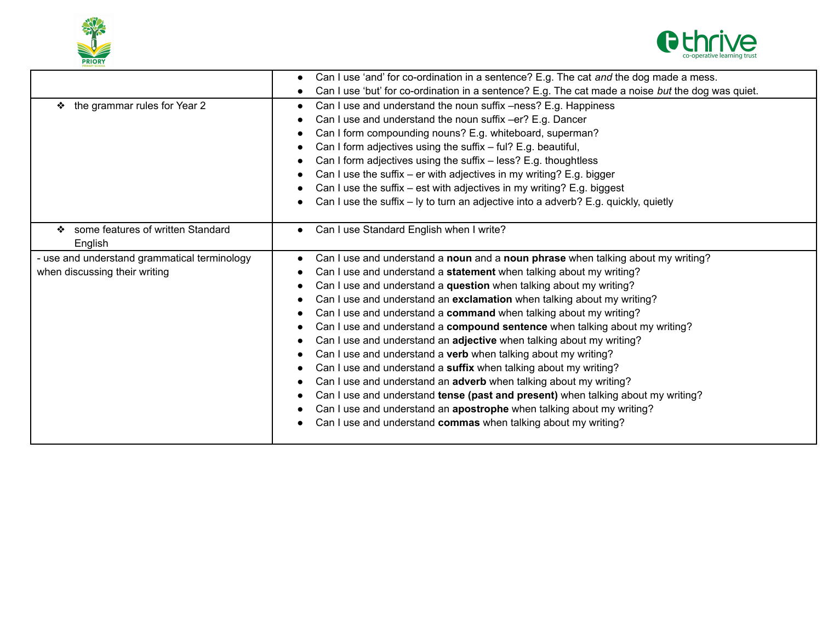



|                                              | Can I use 'and' for co-ordination in a sentence? E.g. The cat and the dog made a mess.            |
|----------------------------------------------|---------------------------------------------------------------------------------------------------|
|                                              | Can I use 'but' for co-ordination in a sentence? E.g. The cat made a noise but the dog was quiet. |
| ❖ the grammar rules for Year 2               | Can I use and understand the noun suffix -ness? E.g. Happiness                                    |
|                                              | Can I use and understand the noun suffix -er? E.g. Dancer                                         |
|                                              | Can I form compounding nouns? E.g. whiteboard, superman?                                          |
|                                              | Can I form adjectives using the suffix - ful? E.g. beautiful,                                     |
|                                              | Can I form adjectives using the suffix - less? E.g. thoughtless                                   |
|                                              | Can I use the suffix $-$ er with adjectives in my writing? E.g. bigger                            |
|                                              | Can I use the suffix – est with adjectives in my writing? E.g. biggest                            |
|                                              | Can I use the suffix - Iy to turn an adjective into a adverb? E.g. quickly, quietly               |
|                                              |                                                                                                   |
| ❖ some features of written Standard          | Can I use Standard English when I write?                                                          |
| English                                      |                                                                                                   |
| - use and understand grammatical terminology | Can I use and understand a noun and a noun phrase when talking about my writing?                  |
| when discussing their writing                | Can I use and understand a statement when talking about my writing?                               |
|                                              | Can I use and understand a question when talking about my writing?                                |
|                                              | Can I use and understand an exclamation when talking about my writing?                            |
|                                              | Can I use and understand a command when talking about my writing?                                 |
|                                              | Can I use and understand a compound sentence when talking about my writing?                       |
|                                              | Can I use and understand an adjective when talking about my writing?                              |
|                                              | Can I use and understand a verb when talking about my writing?                                    |
|                                              | Can I use and understand a suffix when talking about my writing?                                  |
|                                              | Can I use and understand an adverb when talking about my writing?                                 |
|                                              | Can I use and understand tense (past and present) when talking about my writing?                  |
|                                              | Can I use and understand an apostrophe when talking about my writing?                             |
|                                              | Can I use and understand commas when talking about my writing?                                    |
|                                              |                                                                                                   |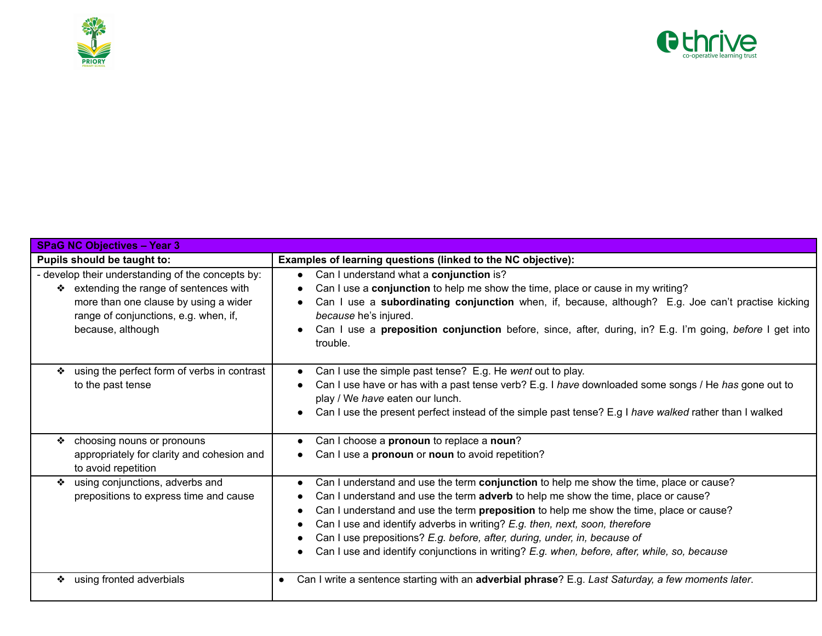



| <b>SPaG NC Objectives - Year 3</b>                                                                                                                                                                  |                                                                                                                                                                                                                                                                                                                                                                                                                                                                                                                                      |
|-----------------------------------------------------------------------------------------------------------------------------------------------------------------------------------------------------|--------------------------------------------------------------------------------------------------------------------------------------------------------------------------------------------------------------------------------------------------------------------------------------------------------------------------------------------------------------------------------------------------------------------------------------------------------------------------------------------------------------------------------------|
| Pupils should be taught to:                                                                                                                                                                         | Examples of learning questions (linked to the NC objective):                                                                                                                                                                                                                                                                                                                                                                                                                                                                         |
| - develop their understanding of the concepts by:<br>❖ extending the range of sentences with<br>more than one clause by using a wider<br>range of conjunctions, e.g. when, if,<br>because, although | Can I understand what a conjunction is?<br>Can I use a conjunction to help me show the time, place or cause in my writing?<br>Can I use a subordinating conjunction when, if, because, although? E.g. Joe can't practise kicking<br>because he's injured.<br>Can I use a <b>preposition conjunction</b> before, since, after, during, in? E.g. I'm going, before I get into<br>trouble.                                                                                                                                              |
| using the perfect form of verbs in contrast<br>❖<br>to the past tense                                                                                                                               | Can I use the simple past tense? E.g. He went out to play.<br>Can I use have or has with a past tense verb? E.g. I have downloaded some songs / He has gone out to<br>play / We have eaten our lunch.<br>Can I use the present perfect instead of the simple past tense? E.g I have walked rather than I walked                                                                                                                                                                                                                      |
| choosing nouns or pronouns<br>❖<br>appropriately for clarity and cohesion and<br>to avoid repetition                                                                                                | Can I choose a pronoun to replace a noun?<br>Can I use a pronoun or noun to avoid repetition?                                                                                                                                                                                                                                                                                                                                                                                                                                        |
| using conjunctions, adverbs and<br>❖<br>prepositions to express time and cause                                                                                                                      | Can I understand and use the term conjunction to help me show the time, place or cause?<br>Can I understand and use the term adverb to help me show the time, place or cause?<br>Can I understand and use the term preposition to help me show the time, place or cause?<br>Can I use and identify adverbs in writing? E.g. then, next, soon, therefore<br>Can I use prepositions? E.g. before, after, during, under, in, because of<br>Can I use and identify conjunctions in writing? E.g. when, before, after, while, so, because |
| using fronted adverbials<br>❖                                                                                                                                                                       | Can I write a sentence starting with an adverbial phrase? E.g. Last Saturday, a few moments later.                                                                                                                                                                                                                                                                                                                                                                                                                                   |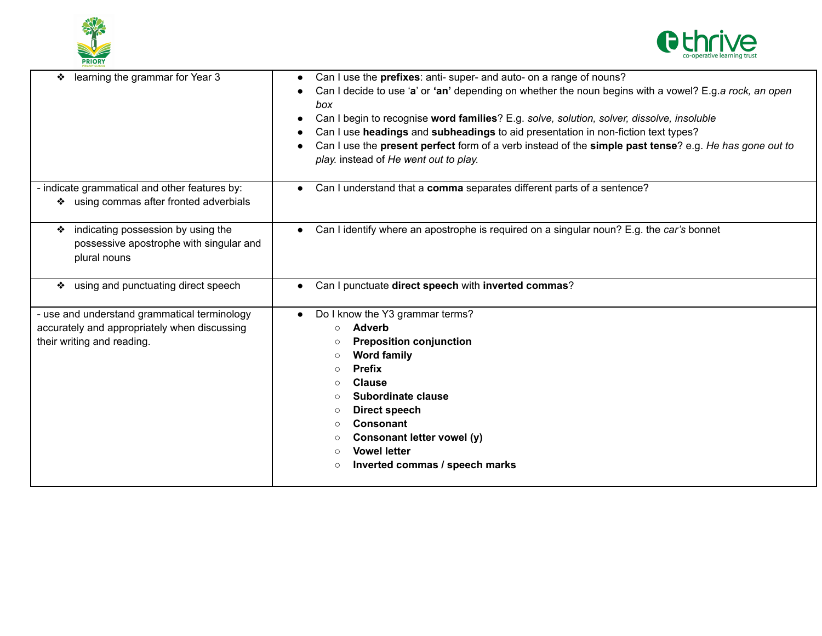



| learning the grammar for Year 3<br>❖                                                                                       | Can I use the prefixes: anti- super- and auto- on a range of nouns?<br>$\bullet$<br>Can I decide to use 'a' or 'an' depending on whether the noun begins with a vowel? E.g.a rock, an open<br>box<br>Can I begin to recognise word families? E.g. solve, solution, solver, dissolve, insoluble<br>$\bullet$<br>Can I use headings and subheadings to aid presentation in non-fiction text types?<br>Can I use the present perfect form of a verb instead of the simple past tense? e.g. He has gone out to<br>play. instead of He went out to play. |
|----------------------------------------------------------------------------------------------------------------------------|-----------------------------------------------------------------------------------------------------------------------------------------------------------------------------------------------------------------------------------------------------------------------------------------------------------------------------------------------------------------------------------------------------------------------------------------------------------------------------------------------------------------------------------------------------|
| - indicate grammatical and other features by:<br>❖ using commas after fronted adverbials                                   | Can I understand that a comma separates different parts of a sentence?                                                                                                                                                                                                                                                                                                                                                                                                                                                                              |
| indicating possession by using the<br>❖<br>possessive apostrophe with singular and<br>plural nouns                         | Can I identify where an apostrophe is required on a singular noun? E.g. the car's bonnet                                                                                                                                                                                                                                                                                                                                                                                                                                                            |
| ❖ using and punctuating direct speech                                                                                      | Can I punctuate direct speech with inverted commas?                                                                                                                                                                                                                                                                                                                                                                                                                                                                                                 |
| - use and understand grammatical terminology<br>accurately and appropriately when discussing<br>their writing and reading. | Do I know the Y3 grammar terms?<br><b>Adverb</b><br>$\circ$<br><b>Preposition conjunction</b><br><b>Word family</b><br>$\circ$<br><b>Prefix</b><br>$\circ$<br><b>Clause</b><br>$\circ$<br>Subordinate clause<br>$\circ$<br><b>Direct speech</b><br>$\circ$<br>Consonant<br>$\circ$<br><b>Consonant letter vowel (y)</b><br><b>Vowel letter</b><br>$\circ$<br>Inverted commas / speech marks<br>$\circ$                                                                                                                                              |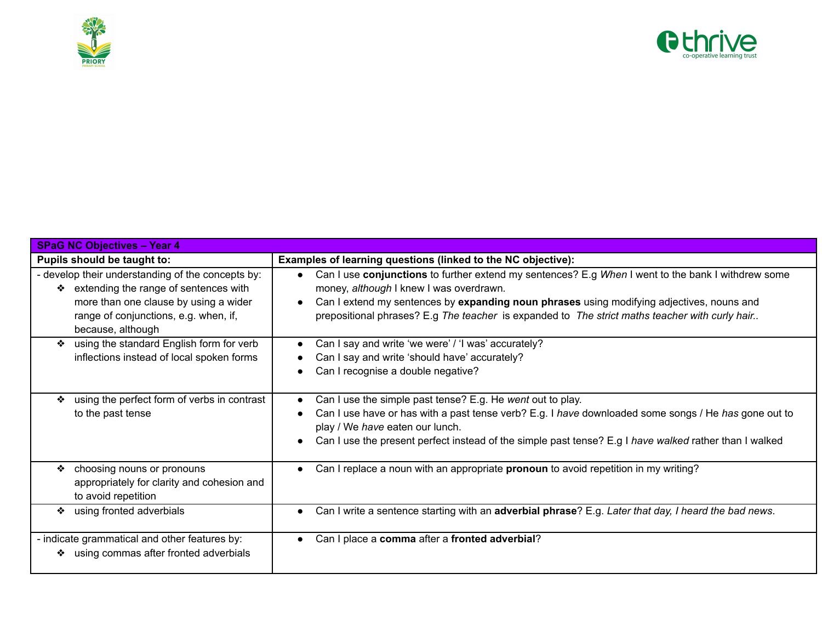



| <b>SPaG NC Objectives - Year 4</b>                                                                                                                                                                     |                                                                                                                                                                                                                                                                                                                                              |
|--------------------------------------------------------------------------------------------------------------------------------------------------------------------------------------------------------|----------------------------------------------------------------------------------------------------------------------------------------------------------------------------------------------------------------------------------------------------------------------------------------------------------------------------------------------|
| Pupils should be taught to:                                                                                                                                                                            | Examples of learning questions (linked to the NC objective):                                                                                                                                                                                                                                                                                 |
| - develop their understanding of the concepts by:<br>extending the range of sentences with<br>❖<br>more than one clause by using a wider<br>range of conjunctions, e.g. when, if,<br>because, although | Can I use conjunctions to further extend my sentences? E.g When I went to the bank I withdrew some<br>money, although I knew I was overdrawn.<br>Can I extend my sentences by expanding noun phrases using modifying adjectives, nouns and<br>prepositional phrases? E.g The teacher is expanded to The strict maths teacher with curly hair |
| using the standard English form for verb<br>❖<br>inflections instead of local spoken forms                                                                                                             | Can I say and write 'we were' / 'I was' accurately?<br>Can I say and write 'should have' accurately?<br>Can I recognise a double negative?                                                                                                                                                                                                   |
| using the perfect form of verbs in contrast<br>❖<br>to the past tense                                                                                                                                  | Can I use the simple past tense? E.g. He went out to play.<br>Can I use have or has with a past tense verb? E.g. I have downloaded some songs / He has gone out to<br>play / We have eaten our lunch.<br>Can I use the present perfect instead of the simple past tense? E.g I have walked rather than I walked                              |
| choosing nouns or pronouns<br>❖<br>appropriately for clarity and cohesion and<br>to avoid repetition                                                                                                   | Can I replace a noun with an appropriate pronoun to avoid repetition in my writing?                                                                                                                                                                                                                                                          |
| using fronted adverbials<br>❖                                                                                                                                                                          | Can I write a sentence starting with an adverbial phrase? E.g. Later that day, I heard the bad news.                                                                                                                                                                                                                                         |
| - indicate grammatical and other features by:<br>using commas after fronted adverbials<br>❖                                                                                                            | Can I place a comma after a fronted adverbial?                                                                                                                                                                                                                                                                                               |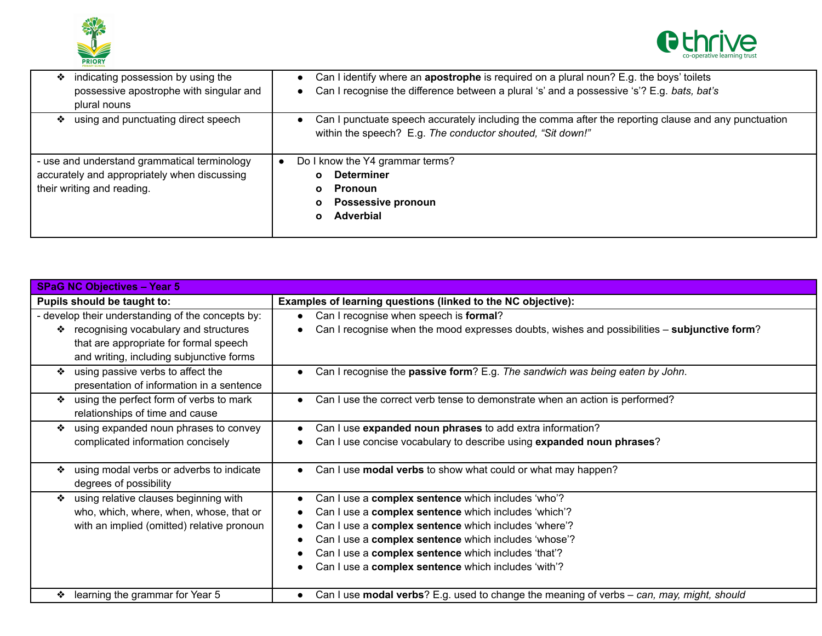



| indicating possession by using the<br>❖<br>possessive apostrophe with singular and<br>plural nouns                         | Can I identify where an apostrophe is required on a plural noun? E.g. the boys' toilets<br>$\bullet$<br>Can I recognise the difference between a plural 's' and a possessive 's'? E.g. bats, bat's<br>$\bullet$ |
|----------------------------------------------------------------------------------------------------------------------------|-----------------------------------------------------------------------------------------------------------------------------------------------------------------------------------------------------------------|
| using and punctuating direct speech<br>❖                                                                                   | Can I punctuate speech accurately including the comma after the reporting clause and any punctuation<br>$\bullet$<br>within the speech? E.g. The conductor shouted, "Sit down!"                                 |
| - use and understand grammatical terminology<br>accurately and appropriately when discussing<br>their writing and reading. | Do I know the Y4 grammar terms?<br><b>Determiner</b><br>$\mathbf{o}$<br>Pronoun<br>o<br><b>Possessive pronoun</b><br>o<br>Adverbial<br>o                                                                        |

| <b>SPaG NC Objectives - Year 5</b>                  |                                                                                              |
|-----------------------------------------------------|----------------------------------------------------------------------------------------------|
| Pupils should be taught to:                         | Examples of learning questions (linked to the NC objective):                                 |
| - develop their understanding of the concepts by:   | Can I recognise when speech is formal?                                                       |
| ❖ recognising vocabulary and structures             | Can I recognise when the mood expresses doubts, wishes and possibilities - subjunctive form? |
| that are appropriate for formal speech              |                                                                                              |
| and writing, including subjunctive forms            |                                                                                              |
| using passive verbs to affect the<br>❖              | Can I recognise the passive form? E.g. The sandwich was being eaten by John.                 |
| presentation of information in a sentence           |                                                                                              |
| using the perfect form of verbs to mark<br><b>参</b> | Can I use the correct verb tense to demonstrate when an action is performed?                 |
| relationships of time and cause                     |                                                                                              |
| using expanded noun phrases to convey               | Can I use expanded noun phrases to add extra information?                                    |
| complicated information concisely                   | Can I use concise vocabulary to describe using expanded noun phrases?                        |
|                                                     |                                                                                              |
| using modal verbs or adverbs to indicate<br>❖       | Can I use modal verbs to show what could or what may happen?                                 |
| degrees of possibility                              |                                                                                              |
| using relative clauses beginning with<br>❖          | Can I use a complex sentence which includes 'who'?                                           |
| who, which, where, when, whose, that or             | Can I use a complex sentence which includes 'which'?                                         |
| with an implied (omitted) relative pronoun          | Can I use a complex sentence which includes 'where'?                                         |
|                                                     | Can I use a complex sentence which includes 'whose'?                                         |
|                                                     | Can I use a complex sentence which includes 'that'?                                          |
|                                                     | Can I use a complex sentence which includes 'with'?                                          |
|                                                     |                                                                                              |
| learning the grammar for Year 5<br>❖                | Can I use modal verbs? E.g. used to change the meaning of verbs - can, may, might, should    |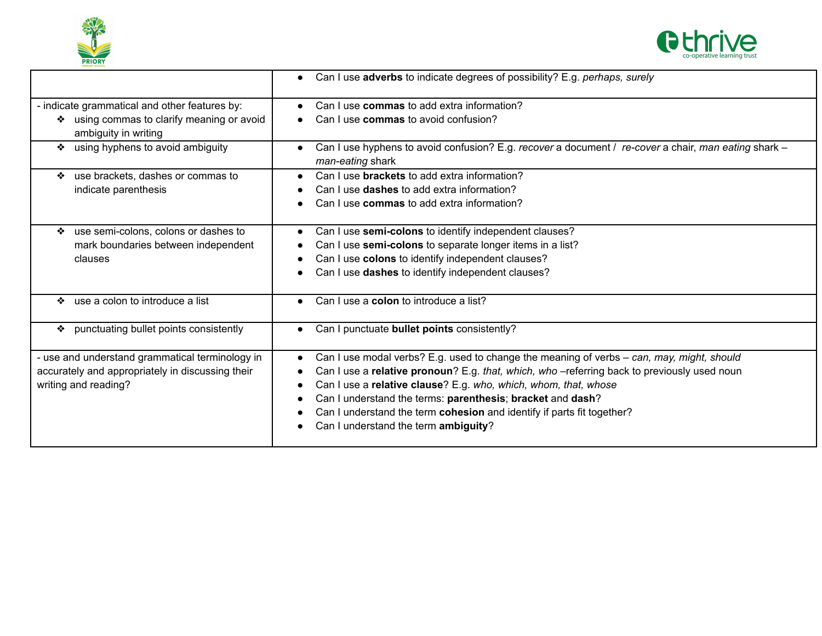



|                                                                                                                             | Can I use adverbs to indicate degrees of possibility? E.g. perhaps, surely<br>$\bullet$                                                                                                                                                                                                                                                                                                                                                     |
|-----------------------------------------------------------------------------------------------------------------------------|---------------------------------------------------------------------------------------------------------------------------------------------------------------------------------------------------------------------------------------------------------------------------------------------------------------------------------------------------------------------------------------------------------------------------------------------|
| - indicate grammatical and other features by:<br>using commas to clarify meaning or avoid<br>❖<br>ambiguity in writing      | Can I use commas to add extra information?<br>Can I use commas to avoid confusion?                                                                                                                                                                                                                                                                                                                                                          |
| using hyphens to avoid ambiguity<br>❖                                                                                       | Can I use hyphens to avoid confusion? E.g. recover a document / re-cover a chair, man eating shark -<br>man-eating shark                                                                                                                                                                                                                                                                                                                    |
| use brackets, dashes or commas to<br>indicate parenthesis                                                                   | Can I use <b>brackets</b> to add extra information?<br>Can I use <b>dashes</b> to add extra information?<br>Can I use commas to add extra information?                                                                                                                                                                                                                                                                                      |
| use semi-colons, colons or dashes to<br>❖<br>mark boundaries between independent<br>clauses                                 | Can I use semi-colons to identify independent clauses?<br>Can I use semi-colons to separate longer items in a list?<br>Can I use colons to identify independent clauses?<br>Can I use dashes to identify independent clauses?                                                                                                                                                                                                               |
| use a colon to introduce a list<br>❖                                                                                        | Can I use a colon to introduce a list?                                                                                                                                                                                                                                                                                                                                                                                                      |
| punctuating bullet points consistently<br>❖                                                                                 | Can I punctuate bullet points consistently?                                                                                                                                                                                                                                                                                                                                                                                                 |
| - use and understand grammatical terminology in<br>accurately and appropriately in discussing their<br>writing and reading? | Can I use modal verbs? E.g. used to change the meaning of verbs - can, may, might, should<br>Can I use a relative pronoun? E.g. that, which, who -referring back to previously used noun<br>Can I use a relative clause? E.g. who, which, whom, that, whose<br>Can I understand the terms: parenthesis; bracket and dash?<br>Can I understand the term cohesion and identify if parts fit together?<br>Can I understand the term ambiguity? |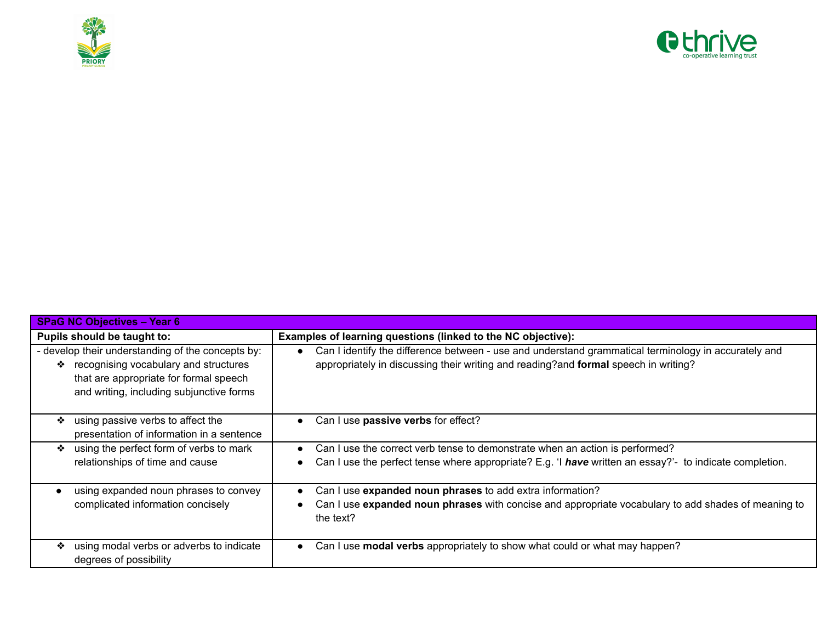



| <b>SPaG NC Objectives - Year 6</b>                                                                                                                                                           |                                                                                                                                                                                             |  |
|----------------------------------------------------------------------------------------------------------------------------------------------------------------------------------------------|---------------------------------------------------------------------------------------------------------------------------------------------------------------------------------------------|--|
| Pupils should be taught to:                                                                                                                                                                  | Examples of learning questions (linked to the NC objective):                                                                                                                                |  |
| - develop their understanding of the concepts by:<br>recognising vocabulary and structures<br><b>参</b><br>that are appropriate for formal speech<br>and writing, including subjunctive forms | Can I identify the difference between - use and understand grammatical terminology in accurately and<br>appropriately in discussing their writing and reading?and formal speech in writing? |  |
| using passive verbs to affect the<br>❖<br>presentation of information in a sentence                                                                                                          | Can I use passive verbs for effect?                                                                                                                                                         |  |
| using the perfect form of verbs to mark<br>relationships of time and cause                                                                                                                   | Can I use the correct verb tense to demonstrate when an action is performed?<br>Can I use the perfect tense where appropriate? E.g. 'I have written an essay?'- to indicate completion.     |  |
| using expanded noun phrases to convey<br>complicated information concisely                                                                                                                   | Can I use expanded noun phrases to add extra information?<br>Can I use expanded noun phrases with concise and appropriate vocabulary to add shades of meaning to<br>the text?               |  |
| using modal verbs or adverbs to indicate<br>❖<br>degrees of possibility                                                                                                                      | Can I use modal verbs appropriately to show what could or what may happen?                                                                                                                  |  |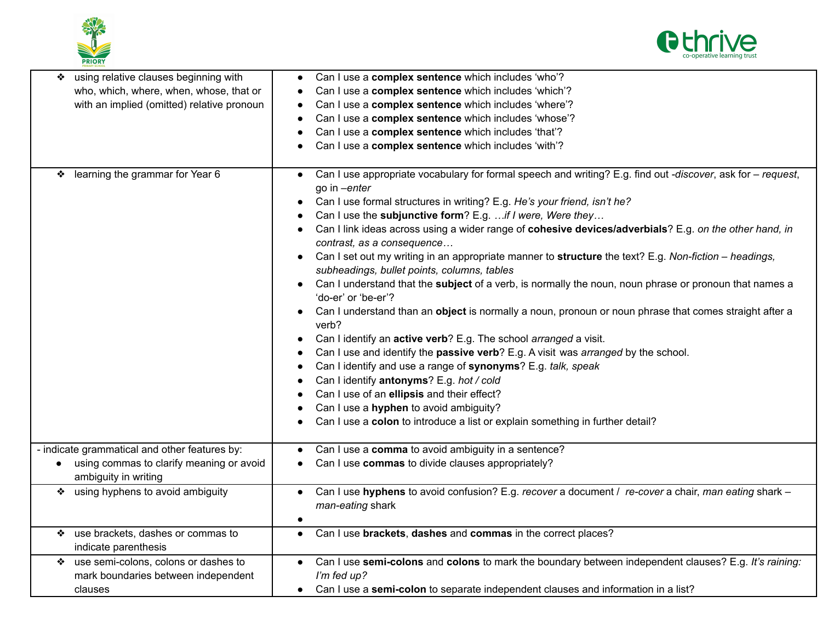



| who, which, where, when, whose, that or<br>Can I use a complex sentence which includes 'which'?                                                                   |  |
|-------------------------------------------------------------------------------------------------------------------------------------------------------------------|--|
|                                                                                                                                                                   |  |
| with an implied (omitted) relative pronoun<br>Can I use a complex sentence which includes 'where'?                                                                |  |
| Can I use a complex sentence which includes 'whose'?                                                                                                              |  |
| Can I use a complex sentence which includes 'that'?                                                                                                               |  |
| Can I use a complex sentence which includes 'with'?                                                                                                               |  |
|                                                                                                                                                                   |  |
| Can I use appropriate vocabulary for formal speech and writing? E.g. find out -discover, ask for - request,<br>❖ learning the grammar for Year 6<br>go in -enter  |  |
| Can I use formal structures in writing? E.g. He's your friend, isn't he?                                                                                          |  |
| Can I use the subjunctive form? E.g.  if I were, Were they                                                                                                        |  |
| Can I link ideas across using a wider range of cohesive devices/adverbials? E.g. on the other hand, in<br>contrast, as a consequence                              |  |
| Can I set out my writing in an appropriate manner to structure the text? E.g. Non-fiction - headings,<br>$\bullet$<br>subheadings, bullet points, columns, tables |  |
| Can I understand that the subject of a verb, is normally the noun, noun phrase or pronoun that names a<br>$\bullet$                                               |  |
| 'do-er' or 'be-er'?                                                                                                                                               |  |
| Can I understand than an object is normally a noun, pronoun or noun phrase that comes straight after a                                                            |  |
| verb?                                                                                                                                                             |  |
| Can I identify an active verb? E.g. The school arranged a visit.<br>$\bullet$                                                                                     |  |
| Can I use and identify the passive verb? E.g. A visit was arranged by the school.                                                                                 |  |
| Can I identify and use a range of synonyms? E.g. talk, speak                                                                                                      |  |
| Can I identify antonyms? E.g. hot / cold                                                                                                                          |  |
| Can I use of an ellipsis and their effect?                                                                                                                        |  |
| Can I use a hyphen to avoid ambiguity?                                                                                                                            |  |
| Can I use a colon to introduce a list or explain something in further detail?                                                                                     |  |
|                                                                                                                                                                   |  |
| Can I use a comma to avoid ambiguity in a sentence?<br>- indicate grammatical and other features by:<br>$\bullet$                                                 |  |
| using commas to clarify meaning or avoid<br>Can I use commas to divide clauses appropriately?<br>$\bullet$<br>$\bullet$                                           |  |
| ambiguity in writing                                                                                                                                              |  |
| ❖ using hyphens to avoid ambiguity<br>Can I use hyphens to avoid confusion? E.g. recover a document / re-cover a chair, man eating shark -                        |  |
| man-eating shark                                                                                                                                                  |  |
| $\bullet$                                                                                                                                                         |  |
| Can I use brackets, dashes and commas in the correct places?<br>❖ use brackets, dashes or commas to<br>$\bullet$                                                  |  |
| indicate parenthesis                                                                                                                                              |  |
| use semi-colons, colons or dashes to<br>Can I use semi-colons and colons to mark the boundary between independent clauses? E.g. It's raining:<br>❖                |  |
| mark boundaries between independent<br>I'm fed up?                                                                                                                |  |
| Can I use a semi-colon to separate independent clauses and information in a list?<br>clauses                                                                      |  |